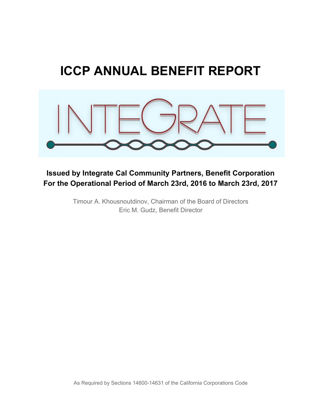# **ICCP ANNUAL BENEFIT REPORT**



### **Issued by Integrate Cal Community Partners, Benefit Corporation For the Operational Period of March 23rd, 2016 to March 23rd, 2017**

Timour A. Khousnoutdinov, Chairman of the Board of Directors Eric M. Gudz, Benefit Director

As Required by Sections 14600-14631 of the California Corporations Code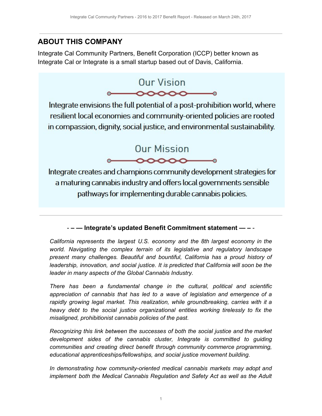#### **ABOUT THIS COMPANY**

Integrate Cal Community Partners, Benefit Corporation (ICCP) better known as Integrate Cal or Integrate is a small startup based out of Davis, California.



Integrate envisions the full potential of a post-prohibition world, where resilient local economies and community-oriented policies are rooted in compassion, dignity, social justice, and environmental sustainability.



Integrate creates and champions community development strategies for a maturing cannabis industry and offers local governments sensible pathways for implementing durable cannabis policies.

- **– — Integrate's updated Benefit Commitment statement — –** -

*California represents the largest U.S. economy and the 8th largest economy in the world. Navigating the complex terrain of its legislative and regulatory landscape present many challenges. Beautiful and bountiful, California has a proud history of leadership, innovation, and social justice. It is predicted that California will soon be the leader in many aspects of the Global Cannabis Industry.*

*There has been a fundamental change in the cultural, political and scientific appreciation of cannabis that has led to a wave of legislation and emergence of a rapidly growing legal market. This realization, while groundbreaking, carries with it a heavy debt to the social justice organizational entities working tirelessly to fix the misaligned, prohibitionist cannabis policies of the past.*

*Recognizing this link between the successes of both the social justice and the market development sides of the cannabis cluster, Integrate is committed to guiding communities and creating direct benefit through community commerce programming, educational apprenticeships/fellowships, and social justice movement building.*

*In demonstrating how community-oriented medical cannabis markets may adopt and implement both the Medical Cannabis Regulation and Safety Act as well as the Adult*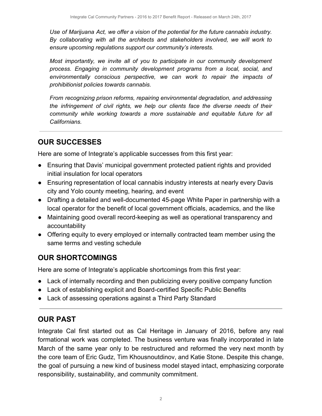*Use of Marijuana Act, we offer a vision of the potential for the future cannabis industry. By collaborating with all the architects and stakeholders involved, we will work to ensure upcoming regulations support our community's interests.*

*Most importantly, we invite all of you to participate in our community development process. Engaging in community development programs from a local, social, and environmentally conscious perspective, we can work to repair the impacts of prohibitionist policies towards cannabis.*

*From recognizing prison reforms, repairing environmental degradation, and addressing the infringement of civil rights, we help our clients face the diverse needs of their community while working towards a more sustainable and equitable future for all Californians.*

# **OUR SUCCESSES**

Here are some of Integrate's applicable successes from this first year:

- Ensuring that Davis' municipal government protected patient rights and provided initial insulation for local operators
- Ensuring representation of local cannabis industry interests at nearly every Davis city and Yolo county meeting, hearing, and event
- Drafting a detailed and well-documented 45-page White Paper in partnership with a local operator for the benefit of local government officials, academics, and the like
- Maintaining good overall record-keeping as well as operational transparency and accountability
- Offering equity to every employed or internally contracted team member using the same terms and vesting schedule

### **OUR SHORTCOMINGS**

Here are some of Integrate's applicable shortcomings from this first year:

- Lack of internally recording and then publicizing every positive company function
- Lack of establishing explicit and Board-certified Specific Public Benefits
- Lack of assessing operations against a Third Party Standard

#### **OUR PAST**

Integrate Cal first started out as Cal Heritage in January of 2016, before any real formational work was completed. The business venture was finally incorporated in late March of the same year only to be restructured and reformed the very next month by the core team of Eric Gudz, Tim Khousnoutdinov, and Katie Stone. Despite this change, the goal of pursuing a new kind of business model stayed intact, emphasizing corporate responsibility, sustainability, and community commitment.